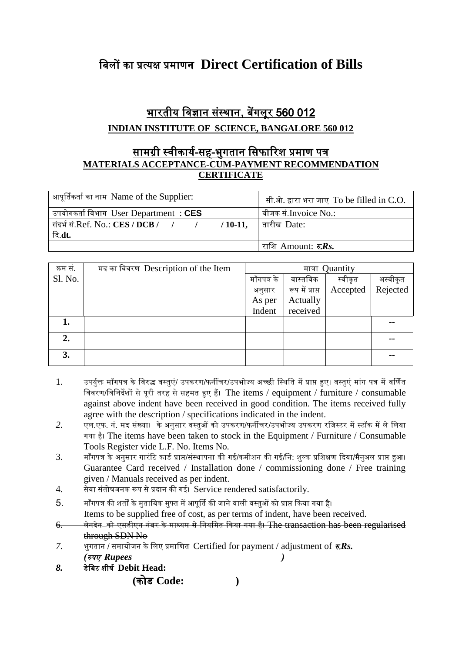## बिलों का प्रत्यक्ष प्रमाणन **Direct Certification of Bills**

## <u>भारतीय विज्ञान संस्थान, बेंगलूर 560 012</u>

## **INDIAN INSTITUTE OF SCIENCE, BANGALORE 560 012**

## <u>सामग्री स्वीकार्य-सह-भुगतान सिफारिश प्रमाण पत्र</u> **MATERIALS ACCEPTANCE-CUM-PAYMENT RECOMMENDATION CERTIFICATE**

| आपूर्तिकर्ता का नाम Name of the Supplier: | सी.ओ. द्वारा भरा जाए To be filled in C.O. |
|-------------------------------------------|-------------------------------------------|
| उपयोगकर्ता विभाग User Department : CES    | बीजक सं.Invoice No.:                      |
|                                           |                                           |
| दि.dt.                                    |                                           |
|                                           | राशि Amount: <b>रु.Rs.</b>                |

| क्रम सं. | मद का विवरण Description of the Item | मात्रा Quantity |                 |          |          |  |
|----------|-------------------------------------|-----------------|-----------------|----------|----------|--|
| Sl. No.  |                                     | माँगपत्र के     | वास्तविक        | स्वीकृत  | अस्वीकृत |  |
|          |                                     | अनुसार          | रूप में प्राप्त | Accepted | Rejected |  |
|          |                                     | As per          | Actually        |          |          |  |
|          |                                     | Indent          | received        |          |          |  |
| 1.       |                                     |                 |                 |          | --       |  |
| 2.       |                                     |                 |                 |          |          |  |
| 3.       |                                     |                 |                 |          | --       |  |

- 1. उपर्युक्त माँगपत्र के विरुद्ध वस्तुएं/ उपकरण/फर्नीचर/उपभोज्य अच्छी स्थिति में प्राप्त हुए। वस्तुएं मांग पत्र में वर्णित बिवरण/बिनिर्देशों से पूरी तरह से सहमत हुए हैं। The items / equipment / furniture / consumable against above indent have been received in good condition. The items received fully agree with the description / specifications indicated in the indent.
- 2. एल.एफ. नं. मद संख्या। के अनुसार वस्तुओं को उपकरण/फर्नीचर/उपभोज्य उपकरण रजिस्टर में स्टॉक में ले लिया गया है। The items have been taken to stock in the Equipment / Furniture / Consumable Tools Register vide L.F. No. Items No*.*
- 3. माँगपत्र के अनुसार गारंटि कार्ड प्राप्त/संस्थापना की गई/कमीशन की गई/नि: शुल्क प्रशिक्षण दिया/मैनुअल प्राप्त हुआ। Guarantee Card received / Installation done / commissioning done / Free training given / Manuals received as per indent.
- $4.$  सेवा संतोषजनक रूप से प्रदान की गई। Service rendered satisfactorily.
- $5.$  माँगपत्र की शर्तों के मुताबिक मुफ्त में आपूर्ति की जाने वाली वस्तुओं को प्राप्त किया गया है।

Items to be supplied free of cost, as per terms of indent, have been received.

- 6. लेनदेन को एसडीएन नंबर के माध्यम से नियमित किया गया है। The transaction has been regularised through SDN No
- *7.* भुगतान / <del>समायोजन</del> के लिए प्रमाणित Certified for payment / adjustment of  $\bar{\tau}$ *Rs*. *(*रुपए *Rupees )*
- *8.* र्ेबिट शीषय **Debit Head:**

 **(**कोर् **Code: )**